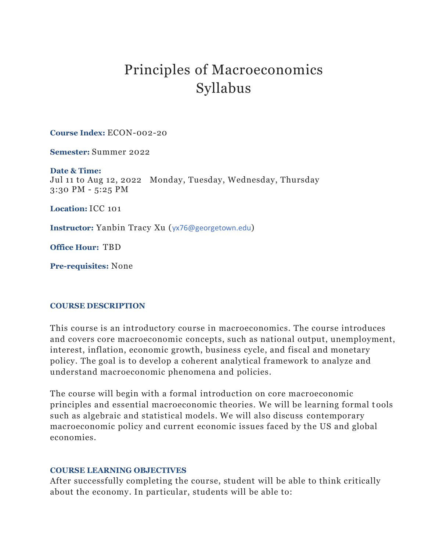# Principles of Macroeconomics Syllabus

**Course Index:** ECON-002-20

**Semester:** Summer 2022

**Date & Time:**  Jul 11 to Aug 12, 2022 Monday, Tuesday, Wednesday, Thursday 3:30 PM - 5:25 PM

**Location:** ICC 101

**Instructor:** Yanbin Tracy Xu ([yx76@georgetown.edu](mailto:yx76@georgetown.edu))

**Office Hour:** TBD

**Pre-requisites:** None

#### **COURSE DESCRIPTION**

This course is an introductory course in macroeconomics. The course introduces and covers core macroeconomic concepts, such as national output, unemployment, interest, inflation, economic growth, business cycle, and fiscal and monetary policy. The goal is to develop a coherent analytical framework to analyze and understand macroeconomic phenomena and policies.

The course will begin with a formal introduction on core macroeconomic principles and essential macroeconomic theories. We will be learning formal tools such as algebraic and statistical models. We will also discuss contemporary macroeconomic policy and current economic issues faced by the US and global economies.

#### **COURSE LEARNING OBJECTIVES**

After successfully completing the course, student will be able to think critically about the economy. In particular, students will be able to: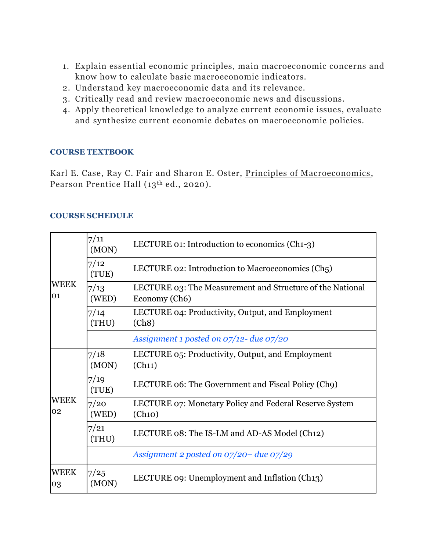- 1. Explain essential economic principles, main macroeconomic concerns and know how to calculate basic macroeconomic indicators.
- 2. Understand key macroeconomic data and its relevance.
- 3. Critically read and review macroeconomic news and discussions.
- 4. Apply theoretical knowledge to analyze current economic issues, evaluate and synthesize current economic debates on macroeconomic policies.

### **COURSE TEXTBOOK**

Karl E. Case, Ray C. Fair and Sharon E. Oster, Principles of Macroeconomics, Pearson Prentice Hall (13<sup>th</sup> ed., 2020).

### **COURSE SCHEDULE**

| <b>WEEK</b><br>01 | 7/11<br>(MON) | LECTURE 01: Introduction to economics (Ch1-3)                                           |
|-------------------|---------------|-----------------------------------------------------------------------------------------|
|                   | 7/12<br>(TUE) | LECTURE 02: Introduction to Macroeconomics (Ch <sub>5</sub> )                           |
|                   | 7/13<br>(WED) | LECTURE 03: The Measurement and Structure of the National<br>Economy (Ch <sub>6</sub> ) |
|                   | 7/14<br>(THU) | LECTURE 04: Productivity, Output, and Employment<br>(Ch8)                               |
|                   |               | Assignment 1 posted on 07/12- due 07/20                                                 |
| <b>WEEK</b><br>02 | 7/18<br>(MON) | LECTURE 05: Productivity, Output, and Employment<br>(Ch11)                              |
|                   | 7/19<br>(TUE) | LECTURE 06: The Government and Fiscal Policy (Ch9)                                      |
|                   | 7/20<br>(WED) | LECTURE 07: Monetary Policy and Federal Reserve System<br>(Ch10)                        |
|                   | 7/21<br>(THU) | LECTURE 08: The IS-LM and AD-AS Model (Ch12)                                            |
|                   |               | Assignment 2 posted on 07/20– due 07/29                                                 |
| <b>WEEK</b><br>03 | 7/25<br>(MON) | LECTURE 09: Unemployment and Inflation (Ch13)                                           |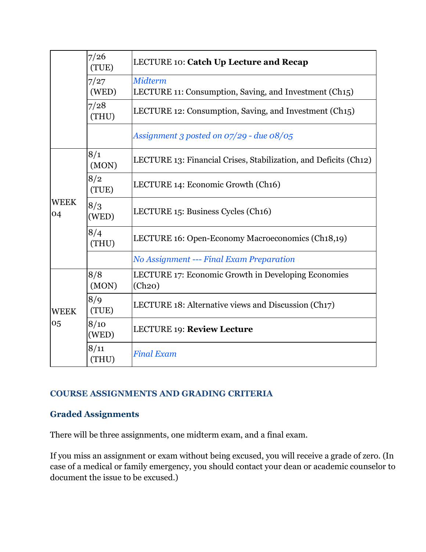|                   | 7/26<br>(TUE) | <b>LECTURE 10: Catch Up Lecture and Recap</b>                            |
|-------------------|---------------|--------------------------------------------------------------------------|
|                   | 7/27<br>(WED) | <b>Midterm</b><br>LECTURE 11: Consumption, Saving, and Investment (Ch15) |
|                   | 7/28<br>(THU) | LECTURE 12: Consumption, Saving, and Investment (Ch15)                   |
|                   |               | Assignment 3 posted on 07/29 - due 08/05                                 |
| <b>WEEK</b><br>04 | 8/1<br>(MON)  | LECTURE 13: Financial Crises, Stabilization, and Deficits (Ch12)         |
|                   | 8/2<br>(TUE)  | LECTURE 14: Economic Growth (Ch16)                                       |
|                   | 8/3<br>(WED)  | LECTURE 15: Business Cycles (Ch16)                                       |
|                   | 8/4<br>(THU)  | LECTURE 16: Open-Economy Macroeconomics (Ch18,19)                        |
|                   |               | <b>No Assignment --- Final Exam Preparation</b>                          |
| <b>WEEK</b><br>05 | 8/8<br>(MON)  | LECTURE 17: Economic Growth in Developing Economies<br>(Ch20)            |
|                   | 8/9<br>(TUE)  | LECTURE 18: Alternative views and Discussion (Ch17)                      |
|                   | 8/10<br>(WED) | LECTURE 19: Review Lecture                                               |
|                   | 8/11<br>(THU) | <b>Final Exam</b>                                                        |

### **COURSE ASSIGNMENTS AND GRADING CRITERIA**

### **Graded Assignments**

There will be three assignments, one midterm exam, and a final exam.

If you miss an assignment or exam without being excused, you will receive a grade of zero. (In case of a medical or family emergency, you should contact your dean or academic counselor to document the issue to be excused.)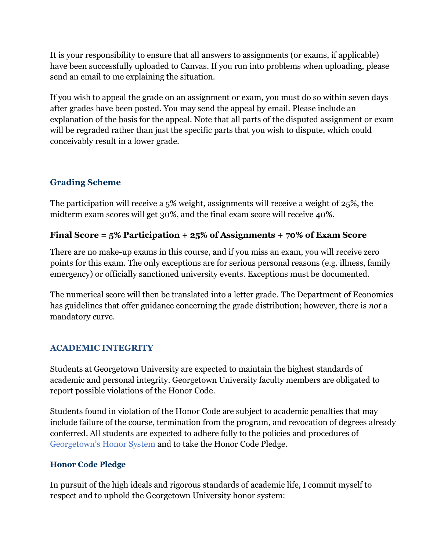It is your responsibility to ensure that all answers to assignments (or exams, if applicable) have been successfully uploaded to Canvas. If you run into problems when uploading, please send an email to me explaining the situation.

If you wish to appeal the grade on an assignment or exam, you must do so within seven days after grades have been posted. You may send the appeal by email. Please include an explanation of the basis for the appeal. Note that all parts of the disputed assignment or exam will be regraded rather than just the specific parts that you wish to dispute, which could conceivably result in a lower grade.

# **Grading Scheme**

The participation will receive a 5% weight, assignments will receive a weight of 25%, the midterm exam scores will get 30%, and the final exam score will receive 40%.

### **Final Score = 5% Participation + 25% of Assignments + 70% of Exam Score**

There are no make-up exams in this course, and if you miss an exam, you will receive zero points for this exam. The only exceptions are for serious personal reasons (e.g. illness, family emergency) or officially sanctioned university events. Exceptions must be documented.

The numerical score will then be translated into a letter grade. The Department of Economics has guidelines that offer guidance concerning the grade distribution; however, there is *not* a mandatory curve.

# **ACADEMIC INTEGRITY**

Students at Georgetown University are expected to maintain the highest standards of academic and personal integrity. Georgetown University faculty members are obligated to report possible violations of the Honor Code.

Students found in violation of the Honor Code are subject to academic penalties that may include failure of the course, termination from the program, and revocation of degrees already conferred. All students are expected to adhere fully to the policies and procedures of Georgetown's Honor System and to take the Honor Code Pledge.

### **Honor Code Pledge**

In pursuit of the high ideals and rigorous standards of academic life, I commit myself to respect and to uphold the Georgetown University honor system: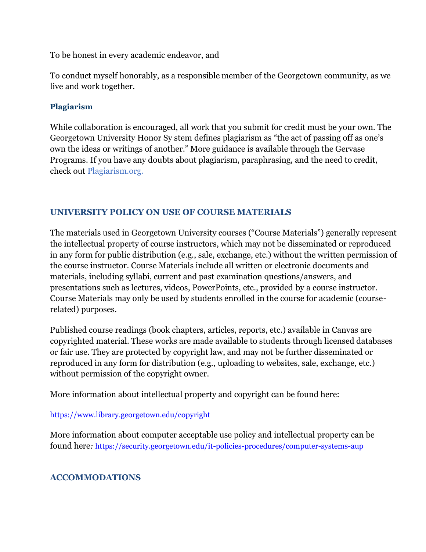To be honest in every academic endeavor, and

To conduct myself honorably, as a responsible member of the Georgetown community, as we live and work together.

### **Plagiarism**

While collaboration is encouraged, all work that you submit for credit must be your own. The Georgetown University Honor Sy stem defines plagiarism as "the act of passing off as one's own the ideas or writings of another." More guidance is available through the Gervase Programs. If you have any doubts about plagiarism, paraphrasing, and the need to credit, check out Plagiarism.org.

### **UNIVERSITY POLICY ON USE OF COURSE MATERIALS**

The materials used in Georgetown University courses ("Course Materials") generally represent the intellectual property of course instructors, which may not be disseminated or reproduced in any form for public distribution (e.g., sale, exchange, etc.) without the written permission of the course instructor. Course Materials include all written or electronic documents and materials, including syllabi, current and past examination questions/answers, and presentations such as lectures, videos, PowerPoints, etc., provided by a course instructor. Course Materials may only be used by students enrolled in the course for academic (courserelated) purposes.

Published course readings (book chapters, articles, reports, etc.) available in Canvas are copyrighted material. These works are made available to students through licensed databases or fair use. They are protected by copyright law, and may not be further disseminated or reproduced in any form for distribution (e.g., uploading to websites, sale, exchange, etc.) without permission of the copyright owner.

More information about intellectual property and copyright can be found here:

### https://www.library.georgetown.edu/copyright

More information about computer acceptable use policy and intellectual property can be found here*:* https://security.georgetown.edu/it-policies-procedures/computer-systems-aup

### **ACCOMMODATIONS**